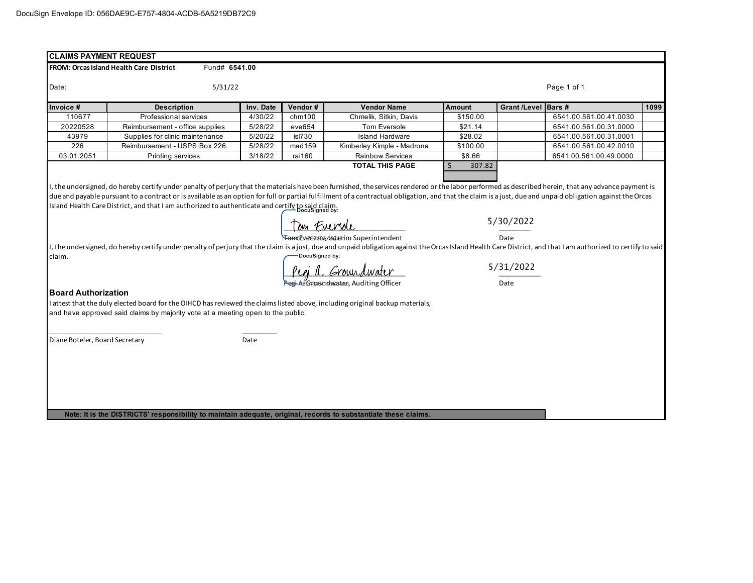| FROM: Orcas Island Health Care District<br>Fund# 6541.00<br>5/31/22<br>Page 1 of 1<br>Grant /Level Bars #<br>Vendor#<br><b>Vendor Name</b><br><b>Amount</b><br><b>Description</b><br>Inv. Date<br>4/30/22<br>Chmelik, Sitkin, Davis<br>6541.00.561.00.41.0030<br>110677<br>Professional services<br>chm100<br>\$150.00<br>20220528<br>Reimbursement - office supplies<br>5/28/22<br>eve654<br>Tom Eversole<br>6541.00.561.00.31.0000<br>\$21.14<br>\$28.02<br>43979<br>Supplies for clinic maintenance<br>5/20/22<br>isl730<br><b>Island Hardware</b><br>6541.00.561.00.31.0001<br>226<br>Reimbursement - USPS Box 226<br>5/28/22<br>mad159<br>Kimberley Kimple - Madrona<br>\$100.00<br>6541.00.561.00.42.0010<br>03.01.2051<br>3/18/22<br>rai160<br>\$8.66<br>Printing services<br><b>Rainbow Services</b><br>6541.00.561.00.49.0000<br><b>TOTAL THIS PAGE</b><br>Ŝ.<br>307.82<br>I, the undersigned, do hereby certify under penalty of perjury that the materials have been furnished, the services rendered or the labor performed as described herein, that any advance payment is<br>5/30/2022<br>Tom Eversole<br><del>em</del> 5DA793705eA402461mSuperintendent<br>Date<br>I, the undersigned, do hereby certify under penalty of perjury that the claim is a just, due and unpaid obligation against the Orcas Island Health Care District, and that I am authorized to certify to said<br>DocuSigned by:<br>claim.<br>5/31/2022<br><u>Pegi a. Groundwater</u><br>AS CASSIBO CORRECT Auditing Officer<br>Date<br>I attest that the duly elected board for the OIHCD has reviewed the claims listed above, including original backup materials,<br>Date |  |  |  |  |  |  |  |  |      |  |  |
|-----------------------------------------------------------------------------------------------------------------------------------------------------------------------------------------------------------------------------------------------------------------------------------------------------------------------------------------------------------------------------------------------------------------------------------------------------------------------------------------------------------------------------------------------------------------------------------------------------------------------------------------------------------------------------------------------------------------------------------------------------------------------------------------------------------------------------------------------------------------------------------------------------------------------------------------------------------------------------------------------------------------------------------------------------------------------------------------------------------------------------------------------------------------------------------------------------------------------------------------------------------------------------------------------------------------------------------------------------------------------------------------------------------------------------------------------------------------------------------------------------------------------------------------------------------------------------------------------------------------------------------------------------------------|--|--|--|--|--|--|--|--|------|--|--|
| Date:<br>Island Health Care District, and that I am authorized to authenticate and certify to said claim.<br>Island Health Care District, and that I am authorized to authenticate and certify to said claims.                                                                                                                                                                                                                                                                                                                                                                                                                                                                                                                                                                                                                                                                                                                                                                                                                                                                                                                                                                                                                                                                                                                                                                                                                                                                                                                                                                                                                                                  |  |  |  |  |  |  |  |  |      |  |  |
| Invoice #<br>due and payable pursuant to a contract or is available as an option for full or partial fulfillment of a contractual obligation, and that the claim is a just, due and unpaid obligation against the Orcas<br><b>Board Authorization</b><br>and have approved said claims by majority vote at a meeting open to the public.<br>Diane Boteler, Board Secretary                                                                                                                                                                                                                                                                                                                                                                                                                                                                                                                                                                                                                                                                                                                                                                                                                                                                                                                                                                                                                                                                                                                                                                                                                                                                                      |  |  |  |  |  |  |  |  |      |  |  |
|                                                                                                                                                                                                                                                                                                                                                                                                                                                                                                                                                                                                                                                                                                                                                                                                                                                                                                                                                                                                                                                                                                                                                                                                                                                                                                                                                                                                                                                                                                                                                                                                                                                                 |  |  |  |  |  |  |  |  |      |  |  |
|                                                                                                                                                                                                                                                                                                                                                                                                                                                                                                                                                                                                                                                                                                                                                                                                                                                                                                                                                                                                                                                                                                                                                                                                                                                                                                                                                                                                                                                                                                                                                                                                                                                                 |  |  |  |  |  |  |  |  | 1099 |  |  |
|                                                                                                                                                                                                                                                                                                                                                                                                                                                                                                                                                                                                                                                                                                                                                                                                                                                                                                                                                                                                                                                                                                                                                                                                                                                                                                                                                                                                                                                                                                                                                                                                                                                                 |  |  |  |  |  |  |  |  |      |  |  |
|                                                                                                                                                                                                                                                                                                                                                                                                                                                                                                                                                                                                                                                                                                                                                                                                                                                                                                                                                                                                                                                                                                                                                                                                                                                                                                                                                                                                                                                                                                                                                                                                                                                                 |  |  |  |  |  |  |  |  |      |  |  |
|                                                                                                                                                                                                                                                                                                                                                                                                                                                                                                                                                                                                                                                                                                                                                                                                                                                                                                                                                                                                                                                                                                                                                                                                                                                                                                                                                                                                                                                                                                                                                                                                                                                                 |  |  |  |  |  |  |  |  |      |  |  |
|                                                                                                                                                                                                                                                                                                                                                                                                                                                                                                                                                                                                                                                                                                                                                                                                                                                                                                                                                                                                                                                                                                                                                                                                                                                                                                                                                                                                                                                                                                                                                                                                                                                                 |  |  |  |  |  |  |  |  |      |  |  |
|                                                                                                                                                                                                                                                                                                                                                                                                                                                                                                                                                                                                                                                                                                                                                                                                                                                                                                                                                                                                                                                                                                                                                                                                                                                                                                                                                                                                                                                                                                                                                                                                                                                                 |  |  |  |  |  |  |  |  |      |  |  |
|                                                                                                                                                                                                                                                                                                                                                                                                                                                                                                                                                                                                                                                                                                                                                                                                                                                                                                                                                                                                                                                                                                                                                                                                                                                                                                                                                                                                                                                                                                                                                                                                                                                                 |  |  |  |  |  |  |  |  |      |  |  |
|                                                                                                                                                                                                                                                                                                                                                                                                                                                                                                                                                                                                                                                                                                                                                                                                                                                                                                                                                                                                                                                                                                                                                                                                                                                                                                                                                                                                                                                                                                                                                                                                                                                                 |  |  |  |  |  |  |  |  |      |  |  |
|                                                                                                                                                                                                                                                                                                                                                                                                                                                                                                                                                                                                                                                                                                                                                                                                                                                                                                                                                                                                                                                                                                                                                                                                                                                                                                                                                                                                                                                                                                                                                                                                                                                                 |  |  |  |  |  |  |  |  |      |  |  |
|                                                                                                                                                                                                                                                                                                                                                                                                                                                                                                                                                                                                                                                                                                                                                                                                                                                                                                                                                                                                                                                                                                                                                                                                                                                                                                                                                                                                                                                                                                                                                                                                                                                                 |  |  |  |  |  |  |  |  |      |  |  |
|                                                                                                                                                                                                                                                                                                                                                                                                                                                                                                                                                                                                                                                                                                                                                                                                                                                                                                                                                                                                                                                                                                                                                                                                                                                                                                                                                                                                                                                                                                                                                                                                                                                                 |  |  |  |  |  |  |  |  |      |  |  |
|                                                                                                                                                                                                                                                                                                                                                                                                                                                                                                                                                                                                                                                                                                                                                                                                                                                                                                                                                                                                                                                                                                                                                                                                                                                                                                                                                                                                                                                                                                                                                                                                                                                                 |  |  |  |  |  |  |  |  |      |  |  |
|                                                                                                                                                                                                                                                                                                                                                                                                                                                                                                                                                                                                                                                                                                                                                                                                                                                                                                                                                                                                                                                                                                                                                                                                                                                                                                                                                                                                                                                                                                                                                                                                                                                                 |  |  |  |  |  |  |  |  |      |  |  |
|                                                                                                                                                                                                                                                                                                                                                                                                                                                                                                                                                                                                                                                                                                                                                                                                                                                                                                                                                                                                                                                                                                                                                                                                                                                                                                                                                                                                                                                                                                                                                                                                                                                                 |  |  |  |  |  |  |  |  |      |  |  |
|                                                                                                                                                                                                                                                                                                                                                                                                                                                                                                                                                                                                                                                                                                                                                                                                                                                                                                                                                                                                                                                                                                                                                                                                                                                                                                                                                                                                                                                                                                                                                                                                                                                                 |  |  |  |  |  |  |  |  |      |  |  |
|                                                                                                                                                                                                                                                                                                                                                                                                                                                                                                                                                                                                                                                                                                                                                                                                                                                                                                                                                                                                                                                                                                                                                                                                                                                                                                                                                                                                                                                                                                                                                                                                                                                                 |  |  |  |  |  |  |  |  |      |  |  |
|                                                                                                                                                                                                                                                                                                                                                                                                                                                                                                                                                                                                                                                                                                                                                                                                                                                                                                                                                                                                                                                                                                                                                                                                                                                                                                                                                                                                                                                                                                                                                                                                                                                                 |  |  |  |  |  |  |  |  |      |  |  |
|                                                                                                                                                                                                                                                                                                                                                                                                                                                                                                                                                                                                                                                                                                                                                                                                                                                                                                                                                                                                                                                                                                                                                                                                                                                                                                                                                                                                                                                                                                                                                                                                                                                                 |  |  |  |  |  |  |  |  |      |  |  |
|                                                                                                                                                                                                                                                                                                                                                                                                                                                                                                                                                                                                                                                                                                                                                                                                                                                                                                                                                                                                                                                                                                                                                                                                                                                                                                                                                                                                                                                                                                                                                                                                                                                                 |  |  |  |  |  |  |  |  |      |  |  |
|                                                                                                                                                                                                                                                                                                                                                                                                                                                                                                                                                                                                                                                                                                                                                                                                                                                                                                                                                                                                                                                                                                                                                                                                                                                                                                                                                                                                                                                                                                                                                                                                                                                                 |  |  |  |  |  |  |  |  |      |  |  |
|                                                                                                                                                                                                                                                                                                                                                                                                                                                                                                                                                                                                                                                                                                                                                                                                                                                                                                                                                                                                                                                                                                                                                                                                                                                                                                                                                                                                                                                                                                                                                                                                                                                                 |  |  |  |  |  |  |  |  |      |  |  |
|                                                                                                                                                                                                                                                                                                                                                                                                                                                                                                                                                                                                                                                                                                                                                                                                                                                                                                                                                                                                                                                                                                                                                                                                                                                                                                                                                                                                                                                                                                                                                                                                                                                                 |  |  |  |  |  |  |  |  |      |  |  |
|                                                                                                                                                                                                                                                                                                                                                                                                                                                                                                                                                                                                                                                                                                                                                                                                                                                                                                                                                                                                                                                                                                                                                                                                                                                                                                                                                                                                                                                                                                                                                                                                                                                                 |  |  |  |  |  |  |  |  |      |  |  |
|                                                                                                                                                                                                                                                                                                                                                                                                                                                                                                                                                                                                                                                                                                                                                                                                                                                                                                                                                                                                                                                                                                                                                                                                                                                                                                                                                                                                                                                                                                                                                                                                                                                                 |  |  |  |  |  |  |  |  |      |  |  |
|                                                                                                                                                                                                                                                                                                                                                                                                                                                                                                                                                                                                                                                                                                                                                                                                                                                                                                                                                                                                                                                                                                                                                                                                                                                                                                                                                                                                                                                                                                                                                                                                                                                                 |  |  |  |  |  |  |  |  |      |  |  |
|                                                                                                                                                                                                                                                                                                                                                                                                                                                                                                                                                                                                                                                                                                                                                                                                                                                                                                                                                                                                                                                                                                                                                                                                                                                                                                                                                                                                                                                                                                                                                                                                                                                                 |  |  |  |  |  |  |  |  |      |  |  |
|                                                                                                                                                                                                                                                                                                                                                                                                                                                                                                                                                                                                                                                                                                                                                                                                                                                                                                                                                                                                                                                                                                                                                                                                                                                                                                                                                                                                                                                                                                                                                                                                                                                                 |  |  |  |  |  |  |  |  |      |  |  |
|                                                                                                                                                                                                                                                                                                                                                                                                                                                                                                                                                                                                                                                                                                                                                                                                                                                                                                                                                                                                                                                                                                                                                                                                                                                                                                                                                                                                                                                                                                                                                                                                                                                                 |  |  |  |  |  |  |  |  |      |  |  |
|                                                                                                                                                                                                                                                                                                                                                                                                                                                                                                                                                                                                                                                                                                                                                                                                                                                                                                                                                                                                                                                                                                                                                                                                                                                                                                                                                                                                                                                                                                                                                                                                                                                                 |  |  |  |  |  |  |  |  |      |  |  |
|                                                                                                                                                                                                                                                                                                                                                                                                                                                                                                                                                                                                                                                                                                                                                                                                                                                                                                                                                                                                                                                                                                                                                                                                                                                                                                                                                                                                                                                                                                                                                                                                                                                                 |  |  |  |  |  |  |  |  |      |  |  |
|                                                                                                                                                                                                                                                                                                                                                                                                                                                                                                                                                                                                                                                                                                                                                                                                                                                                                                                                                                                                                                                                                                                                                                                                                                                                                                                                                                                                                                                                                                                                                                                                                                                                 |  |  |  |  |  |  |  |  |      |  |  |

**Note: It is the DISTRICTS' responsibility to maintain adequate, original, records to substantiate these claims.**